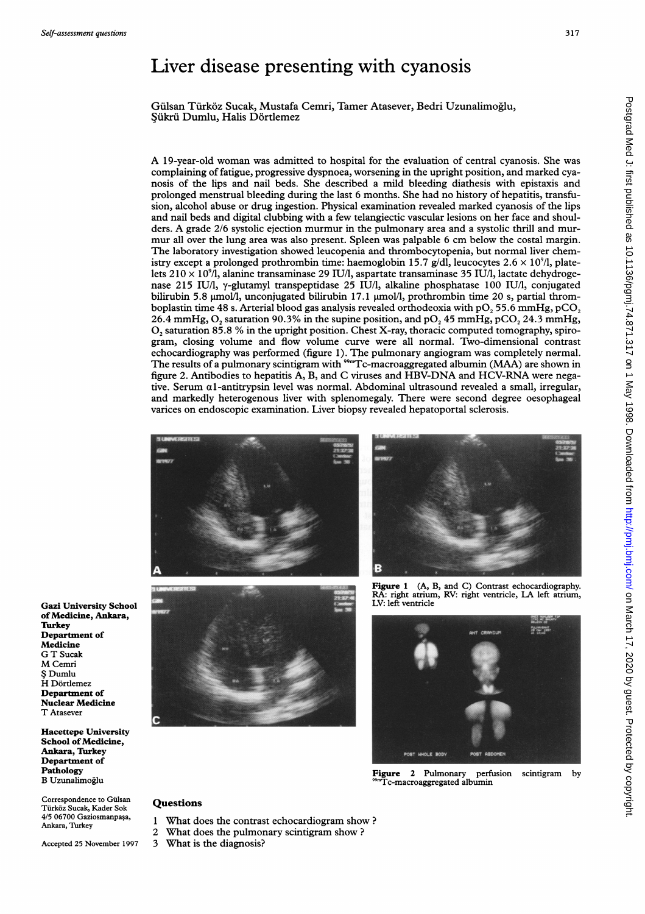# Liver disease presenting with cyanosis

Gülsan Türköz Sucak, Mustafa Cemri, Tamer Atasever, Bedri Uzunalimoğlu, Şükrü Dumlu, Halis Dörtlemez

A 19-year-old woman was admitted to hospital for the evaluation of central cyanosis. She was complaining of fatigue, progressive dyspnoea, worsening in the upright position, and marked cyanosis of the lips and nail beds. She described a mild bleeding diathesis with epistaxis and prolonged menstrual bleeding during the last 6 months. She had no history of hepatitis, transfusion, alcohol abuse or drug ingestion. Physical examination revealed marked cyanosis of the lips and nail beds and digital clubbing with a few telangiectic vascular lesions on her face and shoulders. A grade 2/6 systolic ejection murmur in the pulmonary area and <sup>a</sup> systolic thrill and murmur all over the lung area was also present. Spleen was palpable <sup>6</sup> cm below the costal margin. The laboratory investigation showed leucopenia and thrombocytopenia, but normal liver chemistry except a prolonged prothrombin time: haemoglobin 15.7 g/dl, leucocytes  $2.6 \times 10^{9}$ /l, platelets  $210 \times 10^{9}$ /l, alanine transaminase 29 IU/l, aspartate transaminase 35 IU/l, lactate dehydrogenase 215 IU/l, y-glutamyl transpeptidase 25 IU/l, alkaline phosphatase 100 IU/l, conjugated bilirubin 5.8 umol/l, unconjugated bilirubin 17.1 umol/l, prothrombin time 20 s, partial thromboplastin time 48 s. Arterial blood gas analysis revealed orthodeoxia with  $pO$ , 55.6 mmHg,  $pCO$ , 26.4 mmHg,  $O_2$  saturation 90.3% in the supine position, and p $O_2$  45 mmHg, pCO<sub>2</sub> 24.3 mmHg,  $O<sub>2</sub>$  saturation 85.8 % in the upright position. Chest X-ray, thoracic computed tomography, spirogram, closing volume and flow volume curve were all normal. Two-dimensional contrast echocardiography was performed (figure 1). The pulmonary angiogram was completely normal. The results of a pulmonary scintigram with  $^{9m}$ Tc-macroaggregated albumin (MAA) are shown in figure 2. Antibodies to hepatitis A, B, and C viruses and HBV-DNA and HCV-RNA were negative. Serum  $\alpha$ 1-antitrypsin level was normal. Abdominal ultrasound revealed a small, irregular, and markedly heterogenous liver with splenomegaly. There were second degree oesophageal varices on endoscopic examination. Liver biopsy revealed hepatoportal sclerosis.







Figure 1 (A, B, and C) Contrast echocardiography. RA: right atrium, RV: right ventricle, LA left atrium, LV: left ventricle



Figure 2 Pulmonary perfusion scintigram by Tc-macroaggregated albumin

Gazi University School of Medicine, Ankara, **Turkey** Department of Medicine G T Sucak M Cemri \$ Dumlu H Dörtlemez Department of Nuclear Medicine T Atasever

Hacettepe University School of Medicine, Ankara, Turkey Department of Pathology B Uzunalimoglu

Correspondence to Gülsan Turkoz Sucak, Kader Sok 4/5 06700 Gaziosmanpaşa, Ankara, Turkey

Accepted 25 November 1997

- 
- What does the contrast echocardiogram show ? 2 What does the pulmonary scintigram show ?
- 3 What is the diagnosis?

**Questions**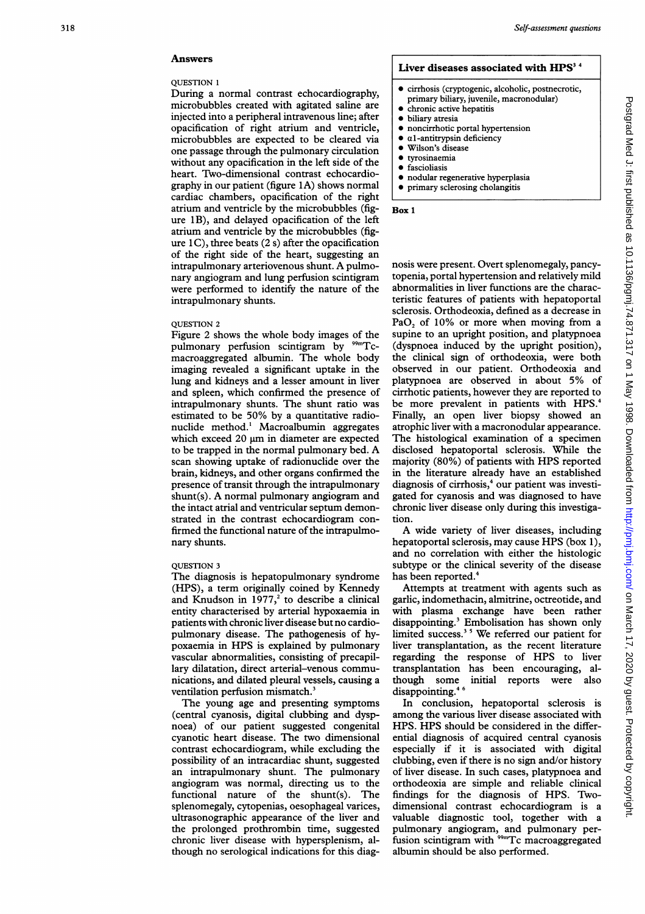## Answers

#### QUESTION 1

During a normal contrast echocardiography, microbubbles created with agitated saline are injected into a peripheral intravenous line; after opacification of right atrium and ventricle, microbubbles are expected to be cleared via one passage through the pulmonary circulation without any opacification in the left side of the heart. Two-dimensional contrast echocardiography in our patient (figure 1A) shows normal cardiac chambers, opacification of the right atrium and ventricle by the microbubbles (figure 1B), and delayed opacification of the left atrium and ventricle by the microbubbles (figure  $1$ C), three beats  $(2 s)$  after the opacification of the right side of the heart, suggesting an intrapulmonary arteriovenous shunt. A pulmonary angiogram and lung perfusion scintigram were performed to identify the nature of the intrapulmonary shunts.

#### QUESTION 2

Figure 2 shows the whole body images of the pulmonary perfusion scintigram by <sup>99m</sup>Tcmacroaggregated albumin. The whole body imaging revealed a significant uptake in the lung and kidneys and a lesser amount in liver and spleen, which confirmed the presence of intrapulmonary shunts. The shunt ratio was estimated to be 50% by a quantitative radionuclide method.' Macroalbumin aggregates which exceed  $20 \mu m$  in diameter are expected to be trapped in the normal pulmonary bed. A scan showing uptake of radionuclide over the brain, kidneys, and other organs confirmed the presence of transit through the intrapulmonary shunt(s). A normal pulmonary angiogram and the intact atrial and ventricular septum demonstrated in the contrast echocardiogram confirmed the functional nature of the intrapulmonary shunts.

#### QUESTION 3

The diagnosis is hepatopulmonary syndrome (HPS), a term originally coined by Kennedy and Knudson in  $1977<sub>i</sub><sup>2</sup>$  to describe a clinical entity characterised by arterial hypoxaemia in patients with chronic liver disease but no cardiopulmonary disease. The pathogenesis of hypoxaemia in HPS is explained by pulmonary vascular abnormalities, consisting of precapillary dilatation, direct arterial-venous communications, and dilated pleural vessels, causing a ventilation perfusion mismatch.'

The young age and presenting symptoms (central cyanosis, digital clubbing and dyspnoea) of our patient suggested congenital cyanotic heart disease. The two dimensional contrast echocardiogram, while excluding the possibility of an intracardiac shunt, suggested an intrapulmonary shunt. The pulmonary angiogram was normal, directing us to the functional nature of the shunt(s). The splenomegaly, cytopenias, oesophageal varices, ultrasonographic appearance of the liver and the prolonged prothrombin time, suggested chronic liver disease with hypersplenism, although no serological indications for this diag-

### Liver diseases associated with  $HPS<sup>3-4</sup>$

- $\bullet$  cirrhosis (cryptogenic, alcoholic, postnecrotic,
	- primary biliary, juvenile, macronodular)
	- chronic active hepatitis
- $\bullet$  biliary atresia
- noncirrhotic portal hypertension
- $\alpha$ 1-antitrypsin deficiency
- Wilson's disease
- $\bullet$  tyrosinaemia  $\bullet$  fascioliasis
- 
- nodular regenerative hyperplasia \* primary sclerosing cholangitis

Box 1

nosis were present. Overt splenomegaly, pancytopenia, portal hypertension and relatively mild abnormalities in liver functions are the characteristic features of patients with hepatoportal sclerosis. Orthodeoxia, defined as a decrease in  $PaO<sub>2</sub>$  of 10% or more when moving from a supine to an upright position, and platypnoea (dyspnoea induced by the upright position), the clinical sign of orthodeoxia, were both observed in our patient. Orthodeoxia and platypnoea are observed in about 5% of cirrhotic patients, however they are reported to be more prevalent in patients with HPS.<sup>4</sup> Finally, an open liver biopsy showed an atrophic liver with a macronodular appearance. The histological examination of a specimen disclosed hepatoportal sclerosis. While the majority (80%) of patients with HPS reported in the literature already have an established diagnosis of cirrhosis,<sup>4</sup> our patient was investigated for cyanosis and was diagnosed to have chronic liver disease only during this investigation.

A wide variety of liver diseases, including hepatoportal sclerosis, may cause HPS (box 1), and no correlation with either the histologic subtype or the clinical severity of the disease has been reported.<sup>4</sup>

Attempts at treatment with agents such as garlic, indomethacin, almitrine, octreotide, and with plasma exchange have been rather disappointing.' Embolisation has shown only limited success.' <sup>5</sup> We referred our patient for liver transplantation, as the recent literature regarding the response of HPS to liver transplantation has been encouraging, although some initial reports were also disappointing.<sup>46</sup>

In conclusion, hepatoportal sclerosis is among the various liver disease associated with HPS. HPS should be considered in the differential diagnosis of acquired central cyanosis especially if it is associated with digital clubbing, even if there is no sign and/or history of liver disease. In such cases, platypnoea and orthodeoxia are simple and reliable clinical findings for the diagnosis of HPS. Twodimensional contrast echocardiogram is a valuable diagnostic tool, together with a pulmonary angiogram, and pulmonary perfusion scintigram with <sup>99m</sup>Tc macroaggregated albumin should be also performed.